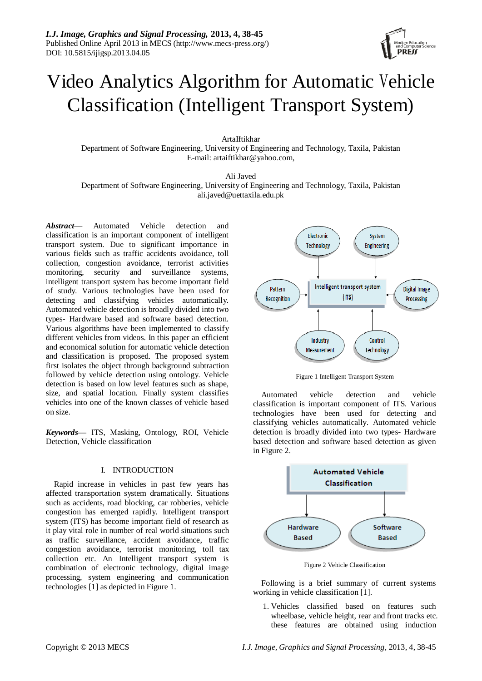

# Video Analytics Algorithm for Automatic Vehicle Classification (Intelligent Transport System)

ArtaIftikhar

Department of Software Engineering, University of Engineering and Technology, Taxila, Pakistan E-mail: artaiftikhar@yahoo.com,

Ali Javed

Department of Software Engineering, University of Engineering and Technology, Taxila, Pakistan ali.javed@uettaxila.edu.pk

*Abstract*— Automated Vehicle detection and classification is an important component of intelligent transport system. Due to significant importance in various fields such as traffic accidents avoidance, toll collection, congestion avoidance, terrorist activities monitoring, security and surveillance systems, intelligent transport system has become important field of study. Various technologies have been used for detecting and classifying vehicles automatically. Automated vehicle detection is broadly divided into two types- Hardware based and software based detection. Various algorithms have been implemented to classify different vehicles from videos. In this paper an efficient and economical solution for automatic vehicle detection and classification is proposed. The proposed system first isolates the object through background subtraction followed by vehicle detection using ontology. Vehicle detection is based on low level features such as shape, size, and spatial location. Finally system classifies vehicles into one of the known classes of vehicle based on size.

*Keywords***—** ITS, Masking, Ontology, ROI, Vehicle Detection, Vehicle classification

# I. INTRODUCTION

Rapid increase in vehicles in past few years has affected transportation system dramatically. Situations such as accidents, road blocking, car robberies, vehicle congestion has emerged rapidly. Intelligent transport system (ITS) has become important field of research as it play vital role in number of real world situations such as traffic surveillance, accident avoidance, traffic congestion avoidance, terrorist monitoring, toll tax collection etc. An Intelligent transport system is combination of electronic technology, digital image processing, system engineering and communication technologies [1] as depicted in Figure 1.





Automated vehicle detection and vehicle classification is important component of ITS. Various technologies have been used for detecting and classifying vehicles automatically. Automated vehicle detection is broadly divided into two types- Hardware based detection and software based detection as given in Figure 2.



Figure 2 Vehicle Classification

Following is a brief summary of current systems working in vehicle classification [1].

1. Vehicles classified based on features such wheelbase, vehicle height, rear and front tracks etc. these features are obtained using induction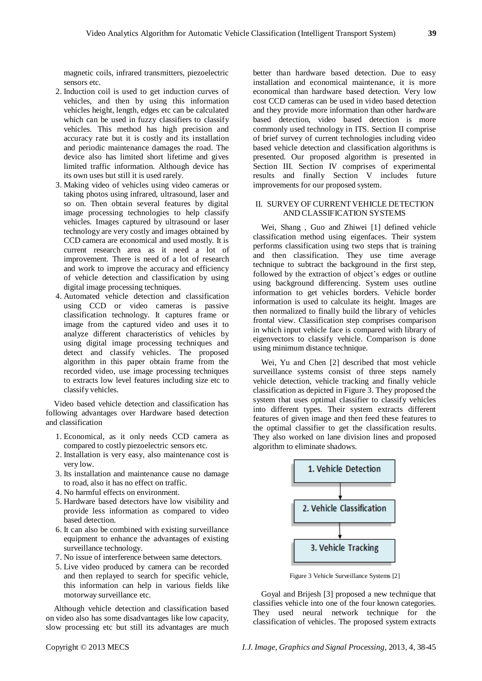magnetic coils, infrared transmitters, piezoelectric sensors etc.

- 2. Induction coil is used to get induction curves of vehicles, and then by using this information vehicles height, length, edges etc can be calculated which can be used in fuzzy classifiers to classify vehicles. This method has high precision and accuracy rate but it is costly and its installation and periodic maintenance damages the road. The device also has limited short lifetime and gives limited traffic information. Although device has its own uses but still it is used rarely.
- 3. Making video of vehicles using video cameras or taking photos using infrared, ultrasound, laser and so on. Then obtain several features by digital image processing technologies to help classify vehicles. Images captured by ultrasound or laser technology are very costly and images obtained by CCD camera are economical and used mostly. It is current research area as it need a lot of improvement. There is need of a lot of research and work to improve the accuracy and efficiency of vehicle detection and classification by using digital image processing techniques.
- 4. Automated vehicle detection and classification using CCD or video cameras is passive classification technology. It captures frame or image from the captured video and uses it to analyze different characteristics of vehicles by using digital image processing techniques and detect and classify vehicles. The proposed algorithm in this paper obtain frame from the recorded video, use image processing techniques to extracts low level features including size etc to classify vehicles.

Video based vehicle detection and classification has following advantages over Hardware based detection and classification

- 1. Economical, as it only needs CCD camera as compared to costly piezoelectric sensors etc.
- 2. Installation is very easy, also maintenance cost is very low.
- 3. Its installation and maintenance cause no damage to road, also it has no effect on traffic.
- 4. No harmful effects on environment.
- 5. Hardware based detectors have low visibility and provide less information as compared to video based detection.
- 6. It can also be combined with existing surveillance equipment to enhance the advantages of existing surveillance technology.
- 7. No issue of interference between same detectors.
- 5. Live video produced by camera can be recorded and then replayed to search for specific vehicle, this information can help in various fields like motorway surveillance etc.

Although vehicle detection and classification based on video also has some disadvantages like low capacity, slow processing etc but still its advantages are much better than hardware based detection. Due to easy installation and economical maintenance, it is more economical than hardware based detection. Very low cost CCD cameras can be used in video based detection and they provide more information than other hardware based detection, video based detection is more commonly used technology in ITS. Section II comprise of brief survey of current technologies including video based vehicle detection and classification algorithms is presented. Our proposed algorithm is presented in Section III. Section IV comprises of experimental results and finally Section V includes future improvements for our proposed system.

#### II. SURVEY OF CURRENT VEHICLE DETECTION AND CLASSIFICATION SYSTEMS

Wei, Shang , Guo and Zhiwei [1] defined vehicle classification method using eigenfaces. Their system performs classification using two steps that is training and then classification. They use time average technique to subtract the background in the first step, followed by the extraction of object's edges or outline using background differencing. System uses outline information to get vehicles borders. Vehicle border information is used to calculate its height. Images are then normalized to finally build the library of vehicles frontal view. Classification step comprises comparison in which input vehicle face is compared with library of eigenvectors to classify vehicle. Comparison is done using minimum distance technique.

Wei, Yu and Chen [2] described that most vehicle surveillance systems consist of three steps namely vehicle detection, vehicle tracking and finally vehicle classification as depicted in Figure 3. They proposed the system that uses optimal classifier to classify vehicles into different types. Their system extracts different features of given image and then feed these features to the optimal classifier to get the classification results. They also worked on lane division lines and proposed algorithm to eliminate shadows.



Figure 3 Vehicle Surveillance Systems [2]

Goyal and Brijesh [3] proposed a new technique that classifies vehicle into one of the four known categories. They used neural network technique for the classification of vehicles. The proposed system extracts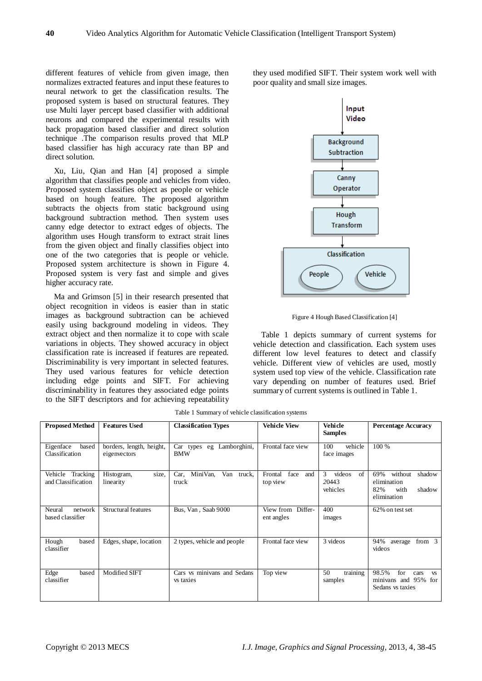different features of vehicle from given image, then normalizes extracted features and input these features to neural network to get the classification results. The proposed system is based on structural features. They use Multi layer percept based classifier with additional neurons and compared the experimental results with back propagation based classifier and direct solution technique .The comparison results proved that MLP based classifier has high accuracy rate than BP and direct solution.

Xu, Liu, Qian and Han [4] proposed a simple algorithm that classifies people and vehicles from video. Proposed system classifies object as people or vehicle based on hough feature. The proposed algorithm subtracts the objects from static background using background subtraction method. Then system uses canny edge detector to extract edges of objects. The algorithm uses Hough transform to extract strait lines from the given object and finally classifies object into one of the two categories that is people or vehicle. Proposed system architecture is shown in Figure 4. Proposed system is very fast and simple and gives higher accuracy rate.

Ma and Grimson [5] in their research presented that object recognition in videos is easier than in static images as background subtraction can be achieved easily using background modeling in videos. They extract object and then normalize it to cope with scale variations in objects. They showed accuracy in object classification rate is increased if features are repeated. Discriminability is very important in selected features. They used various features for vehicle detection including edge points and SIFT. For achieving discriminability in features they associated edge points to the SIFT descriptors and for achieving repeatability

they used modified SIFT. Their system work well with poor quality and small size images.



Figure 4 Hough Based Classification [4]

Table 1 depicts summary of current systems for vehicle detection and classification. Each system uses different low level features to detect and classify vehicle. Different view of vehicles are used, mostly system used top view of the vehicle. Classification rate vary depending on number of features used. Brief summary of current systems is outlined in Table 1.

| <b>Proposed Method</b>                 | <b>Features Used</b>                     | <b>Classification Types</b>              | <b>Vehicle View</b>                | <b>Vehicle</b><br><b>Samples</b>       | <b>Percentage Accuracy</b>                                                       |
|----------------------------------------|------------------------------------------|------------------------------------------|------------------------------------|----------------------------------------|----------------------------------------------------------------------------------|
| Eigenface<br>based<br>Classification   | borders, length, height,<br>eigenvectors | Car types eg Lamborghini,<br><b>BMW</b>  | Frontal face view                  | 100<br>vehicle<br>face images          | 100 %                                                                            |
| Vehicle Tracking<br>and Classification | size,<br>Histogram,<br>linearity         | MiniVan,<br>Van truck,<br>Car.<br>truck  | face<br>Frontal<br>and<br>top view | videos<br>3<br>of<br>20443<br>vehicles | without<br>69%<br>shadow<br>elimination<br>82%<br>with<br>shadow<br>elimination  |
| Neural<br>network<br>based classifier  | Structural features                      | Bus, Van, Saab 9000                      | View from Differ-<br>ent angles    | 400<br>images                          | 62% on test set                                                                  |
| Hough<br>based<br>classifier           | Edges, shape, location                   | 2 types, vehicle and people              | Frontal face view                  | 3 videos                               | 94%<br>from $3$<br>average<br>videos                                             |
| Edge<br>based<br>classifier            | Modified SIFT                            | Cars vs minivans and Sedans<br>vs taxies | Top view                           | training<br>50<br>samples              | 98.5%<br>for<br>cars<br><b>VS</b><br>minivans and 95%<br>for<br>Sedans vs taxies |

Table 1 Summary of vehicle classification systems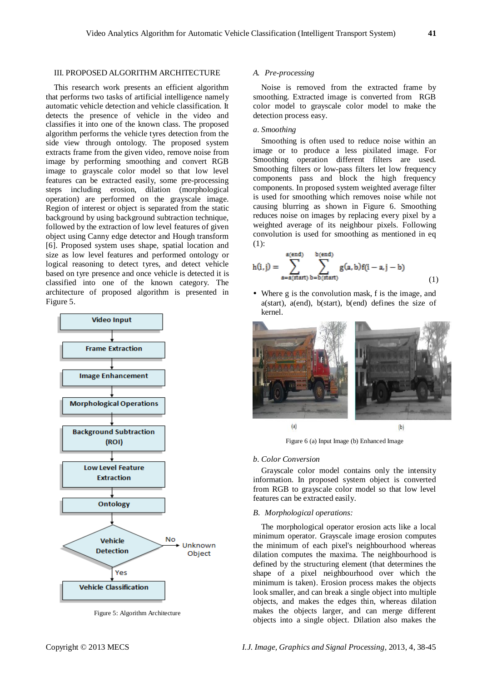#### III. PROPOSED ALGORITHM ARCHITECTURE

This research work presents an efficient algorithm that performs two tasks of artificial intelligence namely automatic vehicle detection and vehicle classification. It detects the presence of vehicle in the video and classifies it into one of the known class. The proposed algorithm performs the vehicle tyres detection from the side view through ontology. The proposed system extracts frame from the given video, remove noise from image by performing smoothing and convert RGB image to grayscale color model so that low level features can be extracted easily, some pre-processing steps including erosion, dilation (morphological operation) are performed on the grayscale image. Region of interest or object is separated from the static background by using background subtraction technique, followed by the extraction of low level features of given object using Canny edge detector and Hough transform [6]. Proposed system uses shape, spatial location and size as low level features and performed ontology or logical reasoning to detect tyres, and detect vehicle based on tyre presence and once vehicle is detected it is classified into one of the known category. The architecture of proposed algorithm is presented in Figure 5.



Figure 5: Algorithm Architecture

# *A. Pre-processing*

Noise is removed from the extracted frame by smoothing. Extracted image is converted from RGB color model to grayscale color model to make the detection process easy.

# *a. Smoothing*

Smoothing is often used to reduce noise within an image or to produce a less pixilated image. For Smoothing operation different filters are used. Smoothing filters or low-pass filters let low frequency components pass and block the high frequency components. In proposed system weighted average filter is used for smoothing which removes noise while not causing blurring as shown in Figure 6. Smoothing reduces noise on images by replacing every pixel by a weighted average of its neighbour pixels. Following convolution is used for smoothing as mentioned in eq (1):

$$
h(i,j) = \sum_{a=a(start)}^{a(end)} \sum_{b(start)}^{b(end)} g(a,b)f(i-a,j-b)
$$
(1)

 Where g is the convolution mask, f is the image, and a(start), a(end), b(start), b(end) defines the size of kernel.



Figure 6 (a) Input Image (b) Enhanced Image

#### *b. Color Conversion*

Grayscale color model contains only the intensity information. In proposed system object is converted from RGB to grayscale color model so that low level features can be extracted easily.

# *B. Morphological operations:*

The morphological operator erosion acts like a local minimum operator*.* Grayscale image erosion computes the minimum of each pixel's neighbourhood whereas dilation computes the maxima. The neighbourhood is defined by the structuring element (that determines the shape of a pixel neighbourhood over which the minimum is taken). Erosion process makes the objects look smaller, and can break a single object into multiple objects, and makes the edges thin, whereas dilation makes the objects larger, and can merge different objects into a single object. Dilation also makes the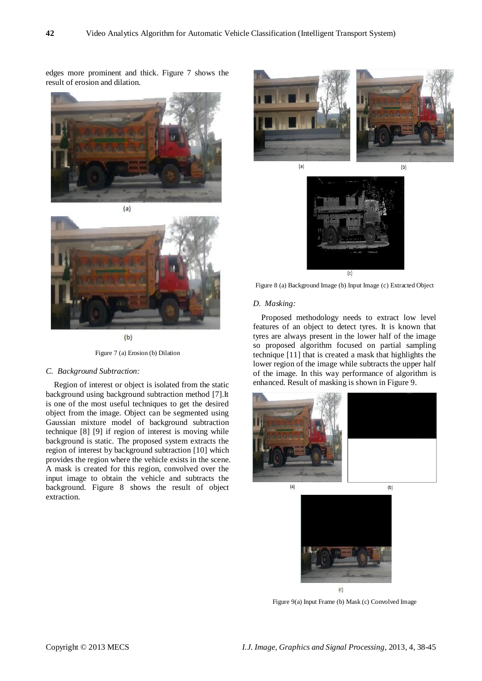edges more prominent and thick. Figure 7 shows the result of erosion and dilation.





 $(b)$ 

Figure 7 (a) Erosion (b) Dilation

# *C. Background Subtraction:*

Region of interest or object is isolated from the static background using background subtraction method [7].It is one of the most useful techniques to get the desired object from the image. Object can be segmented using Gaussian mixture model of background subtraction technique [8] [9] if region of interest is moving while background is static. The proposed system extracts the region of interest by background subtraction [10] which provides the region where the vehicle exists in the scene. A mask is created for this region, convolved over the input image to obtain the vehicle and subtracts the background. Figure 8 shows the result of object extraction.





Figure 8 (a) Background Image (b) Input Image (c) Extracted Object

#### *D. Masking:*

Proposed methodology needs to extract low level features of an object to detect tyres. It is known that tyres are always present in the lower half of the image so proposed algorithm focused on partial sampling technique [11] that is created a mask that highlights the lower region of the image while subtracts the upper half of the image. In this way performance of algorithm is enhanced. Result of masking is shown in Figure 9.





Figure 9(a) Input Frame (b) Mask (c) Convolved Image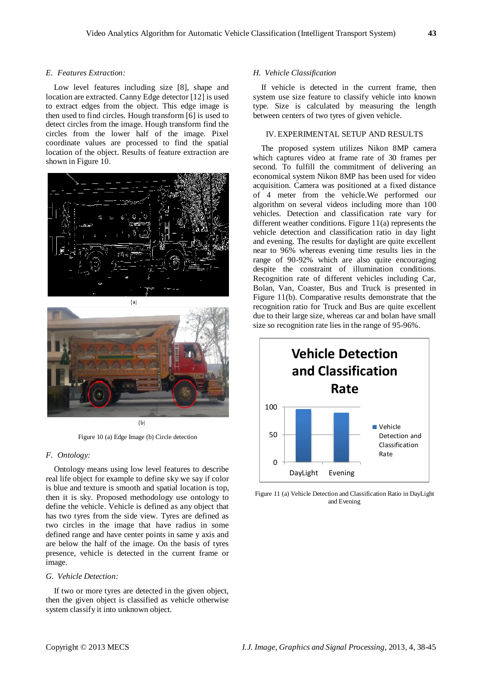#### *E. Features Extraction:*

Low level features including size [8], shape and location are extracted. Canny Edge detector [12] is used to extract edges from the object. This edge image is then used to find circles. Hough transform [6] is used to detect circles from the image. Hough transform find the circles from the lower half of the image. Pixel coordinate values are processed to find the spatial location of the object. Results of feature extraction are shown in Figure 10.





 $(b)$ 

Figure 10 (a) Edge Image (b) Circle detection

# *F. Ontology:*

Ontology means using low level features to describe real life object for example to define sky we say if color is blue and texture is smooth and spatial location is top, then it is sky. Proposed methodology use ontology to define the vehicle. Vehicle is defined as any object that has two tyres from the side view. Tyres are defined as two circles in the image that have radius in some defined range and have center points in same y axis and are below the half of the image. On the basis of tyres presence, vehicle is detected in the current frame or image.

#### *G. Vehicle Detection:*

If two or more tyres are detected in the given object, then the given object is classified as vehicle otherwise system classify it into unknown object.

#### *H. Vehicle Classification*

If vehicle is detected in the current frame, then system use size feature to classify vehicle into known type. Size is calculated by measuring the length between centers of two tyres of given vehicle.

# IV. EXPERIMENTAL SETUP AND RESULTS

The proposed system utilizes Nikon 8MP camera which captures video at frame rate of 30 frames per second. To fulfill the commitment of delivering an economical system Nikon 8MP has been used for video acquisition. Camera was positioned at a fixed distance of 4 meter from the vehicle.We performed our algorithm on several videos including more than 100 vehicles. Detection and classification rate vary for different weather conditions. Figure 11(a) represents the vehicle detection and classification ratio in day light and evening. The results for daylight are quite excellent near to 96% whereas evening time results lies in the range of 90-92% which are also quite encouraging despite the constraint of illumination conditions. Recognition rate of different vehicles including Car, Bolan, Van, Coaster, Bus and Truck is presented in Figure 11(b). Comparative results demonstrate that the recognition ratio for Truck and Bus are quite excellent due to their large size, whereas car and bolan have small size so recognition rate lies in the range of 95-96%.



Figure 11 (a) Vehicle Detection and Classification Ratio in DayLight and Evening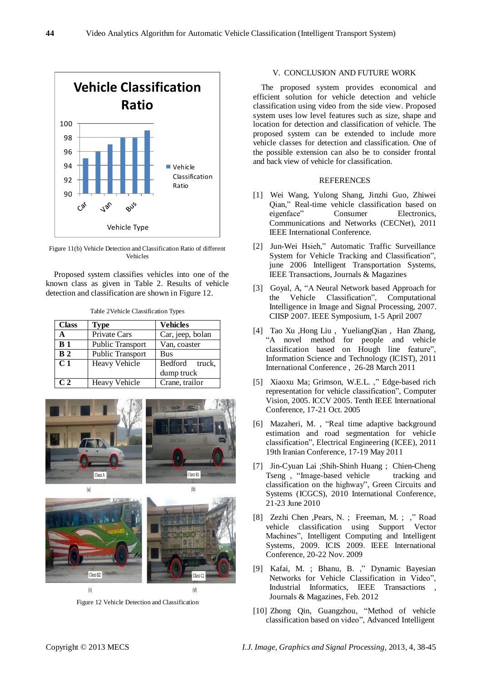

Figure 11(b) Vehicle Detection and Classification Ratio of different Vehicles

Proposed system classifies vehicles into one of the known class as given in Table 2. Results of vehicle detection and classification are shown in Figure 12.

Table 2Vehicle Classification Types

| <b>Class</b>   | <b>Type</b>             | <b>Vehicles</b>              |
|----------------|-------------------------|------------------------------|
| A              | Private Cars            | Car, jeep, bolan             |
| B <sub>1</sub> | <b>Public Transport</b> | Van, coaster                 |
| B <sub>2</sub> | <b>Public Transport</b> | <b>Bus</b>                   |
| C <sub>1</sub> | <b>Heavy Vehicle</b>    | Bedford truck,<br>dump truck |
| C <sub>2</sub> | <b>Heavy Vehicle</b>    | Crane, trailor               |





Figure 12 Vehicle Detection and Classification

#### V. CONCLUSION AND FUTURE WORK

The proposed system provides economical and efficient solution for vehicle detection and vehicle classification using video from the side view. Proposed system uses low level features such as size, shape and location for detection and classification of vehicle. The proposed system can be extended to include more vehicle classes for detection and classification. One of the possible extension can also be to consider frontal and back view of vehicle for classification.

# **REFERENCES**

- [1] Wei Wang, Yulong Shang, Jinzhi Guo, Zhiwei Qian," Real-time vehicle classification based on eigenface" Consumer Electronics, Communications and Networks (CECNet), 2011 IEEE International Conference.
- [2] Jun-Wei Hsieh," Automatic Traffic Surveillance System for Vehicle Tracking and Classification", june 2006 Intelligent Transportation Systems, IEEE Transactions, Journals & Magazines
- [3] Goyal, A, "A Neural Network based Approach for the Vehicle Classification", Computational Intelligence in Image and Signal Processing, 2007. CIISP 2007. IEEE Symposium, 1-5 April 2007
- [4] [Tao](http://ieeexplore.ieee.org/search/searchresult.jsp?searchWithin=p_Authors:.QT.Tao%20Xu.QT.&newsearch=partialPref) Xu [,Hong](http://ieeexplore.ieee.org/search/searchresult.jsp?searchWithin=p_Authors:.QT.Hong%20Liu.QT.&newsearch=partialPref) Liu , [YueliangQian](http://ieeexplore.ieee.org/search/searchresult.jsp?searchWithin=p_Authors:.QT.Yueliang%20Qian.QT.&newsearch=partialPref) , Han [Zhang,](http://ieeexplore.ieee.org/search/searchresult.jsp?searchWithin=p_Authors:.QT.Han%20Zhang.QT.&newsearch=partialPref) "A novel method for people and vehicle classification based on Hough line feature", [Information](http://ieeexplore.ieee.org/xpl/mostRecentIssue.jsp?punumber=5753869) Science and Technology (ICIST), 2011 [International](http://ieeexplore.ieee.org/xpl/mostRecentIssue.jsp?punumber=5753869) Conference , 26-28 March 2011
- [5] [Xiaoxu](http://ieeexplore.ieee.org/search/searchresult.jsp?searchWithin=p_Authors:.QT.Xiaoxu%20Ma.QT.&newsearch=partialPref) Ma; [Grimson,](http://ieeexplore.ieee.org/search/searchresult.jsp?searchWithin=p_Authors:.QT.Grimson,%20W.E.L..QT.&newsearch=partialPref) W.E.L. ," Edge-based rich representation for vehicle classification", Computer Vision, 2005. ICCV 2005. Tenth IEEE International Conference, 17-21 Oct. 2005
- [6] [Mazaheri,](http://ieeexplore.ieee.org/search/searchresult.jsp?searchWithin=p_Authors:.QT.Mazaheri,%20M..QT.&newsearch=partialPref) M. , "Real time adaptive background estimation and road segmentation for vehicle classification", Electrical Engineering (ICEE), 2011 19th Iranian Conference, 17-19 May 2011
- [7] [Jin-Cyuan](http://ieeexplore.ieee.org/search/searchresult.jsp?searchWithin=p_Authors:.QT.Jin-Cyuan%20Lai.QT.&newsearch=partialPref) Lai [;Shih-Shinh](http://ieeexplore.ieee.org/search/searchresult.jsp?searchWithin=p_Authors:.QT.Shih-Shinh%20Huang.QT.&newsearch=partialPref) Huang ; [Chien-Cheng](http://ieeexplore.ieee.org/search/searchresult.jsp?searchWithin=p_Authors:.QT.Chien-Cheng%20Tseng.QT.&newsearch=partialPref) [Tseng](http://ieeexplore.ieee.org/search/searchresult.jsp?searchWithin=p_Authors:.QT.Chien-Cheng%20Tseng.QT.&newsearch=partialPref) , "Image-based vehicle tracking and classification on the highway", Green Circuits and Systems (ICGCS), 2010 International Conference, 21-23 June 2010
- [8] [Zezhi](http://ieeexplore.ieee.org/search/searchresult.jsp?searchWithin=p_Authors:.QT.Zezhi%20Chen.QT.&newsearch=partialPref) Chen [,Pears,](http://ieeexplore.ieee.org/search/searchresult.jsp?searchWithin=p_Authors:.QT.Pears,%20N..QT.&newsearch=partialPref) N. ; [Freeman,](http://ieeexplore.ieee.org/search/searchresult.jsp?searchWithin=p_Authors:.QT.Freeman,%20M..QT.&newsearch=partialPref) M. ; ," [Road](http://ieeexplore.ieee.org/search/searchresult.jsp?searchWithin=p_Authors:.QT.Austin,%20J..QT.&newsearch=partialPref) vehicle [classification](http://ieeexplore.ieee.org/search/searchresult.jsp?searchWithin=p_Authors:.QT.Austin,%20J..QT.&newsearch=partialPref) using Support Vector Machines", Intelligent [Computing](http://ieeexplore.ieee.org/search/searchresult.jsp?searchWithin=p_Authors:.QT.Austin,%20J..QT.&newsearch=partialPref) and Intelligent Systems, 2009. ICIS 2009. IEEE [International](http://ieeexplore.ieee.org/search/searchresult.jsp?searchWithin=p_Authors:.QT.Austin,%20J..QT.&newsearch=partialPref) [Conference,](http://ieeexplore.ieee.org/search/searchresult.jsp?searchWithin=p_Authors:.QT.Austin,%20J..QT.&newsearch=partialPref) 20-22 Nov. 2009
- [9] [Kafai,](http://ieeexplore.ieee.org/search/searchresult.jsp?searchWithin=p_Authors:.QT.Kafai,%20M..QT.&newsearch=partialPref) M. ; [Bhanu,](http://ieeexplore.ieee.org/search/searchresult.jsp?searchWithin=p_Authors:.QT.Bhanu,%20B..QT.&newsearch=partialPref) B. ," Dynamic Bayesian Networks for Vehicle Classification in Video", Industrial Informatics, IEEE Transactions Journals & Magazines, Feb. 2012
- [10] [Zhong](http://ieeexplore.ieee.org/search/searchresult.jsp?searchWithin=p_Authors:.QT.Zhong%20Qin.QT.&newsearch=partialPref) Qin, Guangzhou, "Method of vehicle classification based on video", Advanced Intelligent